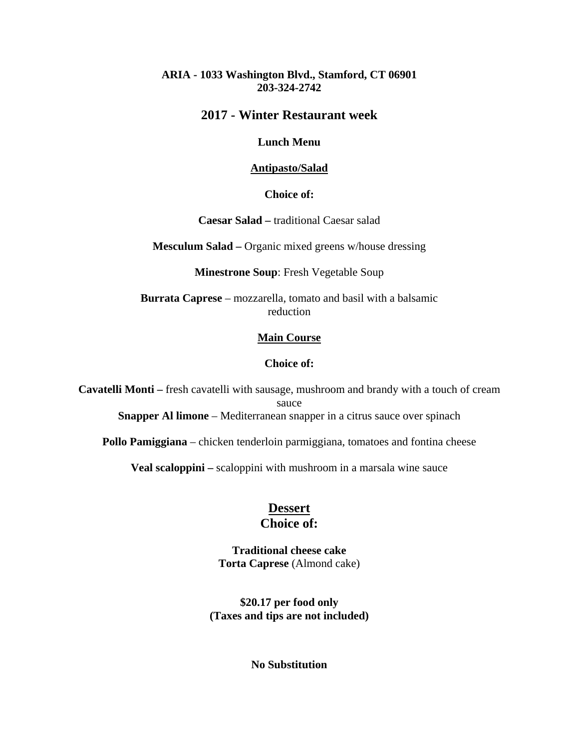#### **ARIA - 1033 Washington Blvd., Stamford, CT 06901 203-324-2742**

## **2017 - Winter Restaurant week**

#### **Lunch Menu**

#### **Antipasto/Salad**

#### **Choice of:**

**Caesar Salad –** traditional Caesar salad

**Mesculum Salad –** Organic mixed greens w/house dressing

**Minestrone Soup**: Fresh Vegetable Soup

**Burrata Caprese** – mozzarella, tomato and basil with a balsamic reduction

#### **Main Course**

#### **Choice of:**

**Cavatelli Monti –** fresh cavatelli with sausage, mushroom and brandy with a touch of cream sauce **Snapper Al limone** – Mediterranean snapper in a citrus sauce over spinach

**Pollo Pamiggiana** – chicken tenderloin parmiggiana, tomatoes and fontina cheese

**Veal scaloppini –** scaloppini with mushroom in a marsala wine sauce

### **Dessert Choice of:**

**Traditional cheese cake Torta Caprese** (Almond cake)

**\$20.17 per food only (Taxes and tips are not included)** 

**No Substitution**